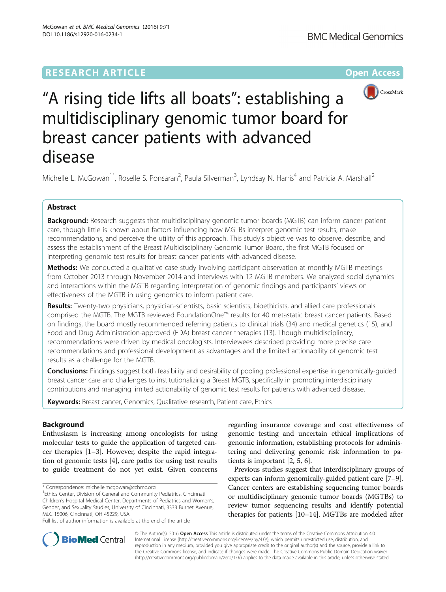

"A rising tide lifts all boats": establishing a multidisciplinary genomic tumor board for breast cancer patients with advanced disease

Michelle L. McGowan<sup>1\*</sup>, Roselle S. Ponsaran<sup>2</sup>, Paula Silverman<sup>3</sup>, Lyndsay N. Harris<sup>4</sup> and Patricia A. Marshall<sup>2</sup>

# Abstract

Background: Research suggests that multidisciplinary genomic tumor boards (MGTB) can inform cancer patient care, though little is known about factors influencing how MGTBs interpret genomic test results, make recommendations, and perceive the utility of this approach. This study's objective was to observe, describe, and assess the establishment of the Breast Multidisciplinary Genomic Tumor Board, the first MGTB focused on interpreting genomic test results for breast cancer patients with advanced disease.

**Methods:** We conducted a qualitative case study involving participant observation at monthly MGTB meetings from October 2013 through November 2014 and interviews with 12 MGTB members. We analyzed social dynamics and interactions within the MGTB regarding interpretation of genomic findings and participants' views on effectiveness of the MGTB in using genomics to inform patient care.

Results: Twenty-two physicians, physician-scientists, basic scientists, bioethicists, and allied care professionals comprised the MGTB. The MGTB reviewed FoundationOne™ results for 40 metastatic breast cancer patients. Based on findings, the board mostly recommended referring patients to clinical trials (34) and medical genetics (15), and Food and Drug Administration-approved (FDA) breast cancer therapies (13). Though multidisciplinary, recommendations were driven by medical oncologists. Interviewees described providing more precise care recommendations and professional development as advantages and the limited actionability of genomic test results as a challenge for the MGTB.

Conclusions: Findings suggest both feasibility and desirability of pooling professional expertise in genomically-guided breast cancer care and challenges to institutionalizing a Breast MGTB, specifically in promoting interdisciplinary contributions and managing limited actionability of genomic test results for patients with advanced disease.

Keywords: Breast cancer, Genomics, Qualitative research, Patient care, Ethics

# Background

Enthusiasm is increasing among oncologists for using molecular tests to guide the application of targeted cancer therapies [\[1](#page-8-0)–[3\]](#page-8-0). However, despite the rapid integration of genomic tests [\[4](#page-8-0)], care paths for using test results to guide treatment do not yet exist. Given concerns

Full list of author information is available at the end of the article

regarding insurance coverage and cost effectiveness of genomic testing and uncertain ethical implications of genomic information, establishing protocols for administering and delivering genomic risk information to patients is important [[2](#page-8-0), [5](#page-8-0), [6](#page-8-0)].

Previous studies suggest that interdisciplinary groups of experts can inform genomically-guided patient care [[7](#page-8-0)–[9](#page-9-0)]. Cancer centers are establishing sequencing tumor boards or multidisciplinary genomic tumor boards (MGTBs) to review tumor sequencing results and identify potential therapies for patients [\[10](#page-9-0)–[14](#page-9-0)]. MGTBs are modeled after



© The Author(s). 2016 Open Access This article is distributed under the terms of the Creative Commons Attribution 4.0 International License [\(http://creativecommons.org/licenses/by/4.0/](http://creativecommons.org/licenses/by/4.0/)), which permits unrestricted use, distribution, and reproduction in any medium, provided you give appropriate credit to the original author(s) and the source, provide a link to the Creative Commons license, and indicate if changes were made. The Creative Commons Public Domain Dedication waiver [\(http://creativecommons.org/publicdomain/zero/1.0/](http://creativecommons.org/publicdomain/zero/1.0/)) applies to the data made available in this article, unless otherwise stated.

<sup>\*</sup> Correspondence: [michelle.mcgowan@cchmc.org](mailto:michelle.mcgowan@cchmc.org) <sup>1</sup>

<sup>&</sup>lt;sup>1</sup>Ethics Center, Division of General and Community Pediatrics, Cincinnati Children's Hospital Medical Center, Departments of Pediatrics and Women's, Gender, and Sexuality Studies, University of Cincinnati, 3333 Burnet Avenue, MLC 15006, Cincinnati, OH 45229, USA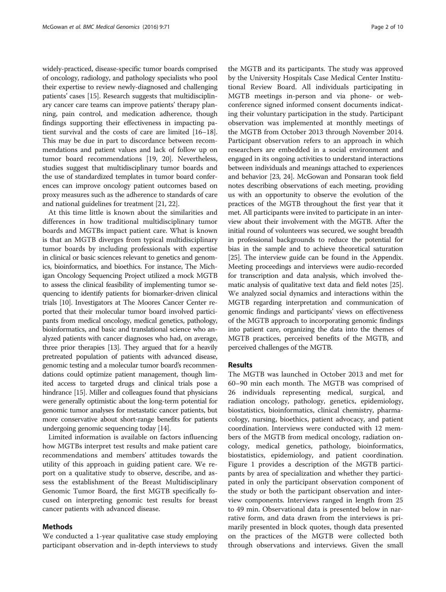widely-practiced, disease-specific tumor boards comprised of oncology, radiology, and pathology specialists who pool their expertise to review newly-diagnosed and challenging patients' cases [[15](#page-9-0)]. Research suggests that multidisciplinary cancer care teams can improve patients' therapy planning, pain control, and medication adherence, though findings supporting their effectiveness in impacting patient survival and the costs of care are limited [\[16](#page-9-0)–[18](#page-9-0)]. This may be due in part to discordance between recommendations and patient values and lack of follow up on tumor board recommendations [[19](#page-9-0), [20](#page-9-0)]. Nevertheless, studies suggest that multidisciplinary tumor boards and the use of standardized templates in tumor board conferences can improve oncology patient outcomes based on proxy measures such as the adherence to standards of care and national guidelines for treatment [[21](#page-9-0), [22\]](#page-9-0).

At this time little is known about the similarities and differences in how traditional multidisciplinary tumor boards and MGTBs impact patient care. What is known is that an MGTB diverges from typical multidisciplinary tumor boards by including professionals with expertise in clinical or basic sciences relevant to genetics and genomics, bioinformatics, and bioethics. For instance, The Michigan Oncology Sequencing Project utilized a mock MGTB to assess the clinical feasibility of implementing tumor sequencing to identify patients for biomarker-driven clinical trials [\[10\]](#page-9-0). Investigators at The Moores Cancer Center reported that their molecular tumor board involved participants from medical oncology, medical genetics, pathology, bioinformatics, and basic and translational science who analyzed patients with cancer diagnoses who had, on average, three prior therapies [\[13](#page-9-0)]. They argued that for a heavily pretreated population of patients with advanced disease, genomic testing and a molecular tumor board's recommendations could optimize patient management, though limited access to targeted drugs and clinical trials pose a hindrance [[15](#page-9-0)]. Miller and colleagues found that physicians were generally optimistic about the long-term potential for genomic tumor analyses for metastatic cancer patients, but more conservative about short-range benefits for patients undergoing genomic sequencing today [[14](#page-9-0)].

Limited information is available on factors influencing how MGTBs interpret test results and make patient care recommendations and members' attitudes towards the utility of this approach in guiding patient care. We report on a qualitative study to observe, describe, and assess the establishment of the Breast Multidisciplinary Genomic Tumor Board, the first MGTB specifically focused on interpreting genomic test results for breast cancer patients with advanced disease.

## Methods

We conducted a 1-year qualitative case study employing participant observation and in-depth interviews to study

the MGTB and its participants. The study was approved by the University Hospitals Case Medical Center Institutional Review Board. All individuals participating in MGTB meetings in-person and via phone- or webconference signed informed consent documents indicating their voluntary participation in the study. Participant observation was implemented at monthly meetings of the MGTB from October 2013 through November 2014. Participant observation refers to an approach in which researchers are embedded in a social environment and engaged in its ongoing activities to understand interactions between individuals and meanings attached to experiences and behavior [\[23, 24](#page-9-0)]. McGowan and Ponsaran took field notes describing observations of each meeting, providing us with an opportunity to observe the evolution of the practices of the MGTB throughout the first year that it met. All participants were invited to participate in an interview about their involvement with the MGTB. After the initial round of volunteers was secured, we sought breadth in professional backgrounds to reduce the potential for bias in the sample and to achieve theoretical saturation [[25](#page-9-0)]. The interview guide can be found in the [Appendix](#page-7-0). Meeting proceedings and interviews were audio-recorded for transcription and data analysis, which involved thematic analysis of qualitative text data and field notes [[25](#page-9-0)]. We analyzed social dynamics and interactions within the MGTB regarding interpretation and communication of genomic findings and participants' views on effectiveness of the MGTB approach to incorporating genomic findings into patient care, organizing the data into the themes of MGTB practices, perceived benefits of the MGTB, and perceived challenges of the MGTB.

## Results

The MGTB was launched in October 2013 and met for 60–90 min each month. The MGTB was comprised of 26 individuals representing medical, surgical, and radiation oncology, pathology, genetics, epidemiology, biostatistics, bioinformatics, clinical chemistry, pharmacology, nursing, bioethics, patient advocacy, and patient coordination. Interviews were conducted with 12 members of the MGTB from medical oncology, radiation oncology, medical genetics, pathology, bioinformatics, biostatistics, epidemiology, and patient coordination. Figure [1](#page-2-0) provides a description of the MGTB participants by area of specialization and whether they participated in only the participant observation component of the study or both the participant observation and interview components. Interviews ranged in length from 25 to 49 min. Observational data is presented below in narrative form, and data drawn from the interviews is primarily presented in block quotes, though data presented on the practices of the MGTB were collected both through observations and interviews. Given the small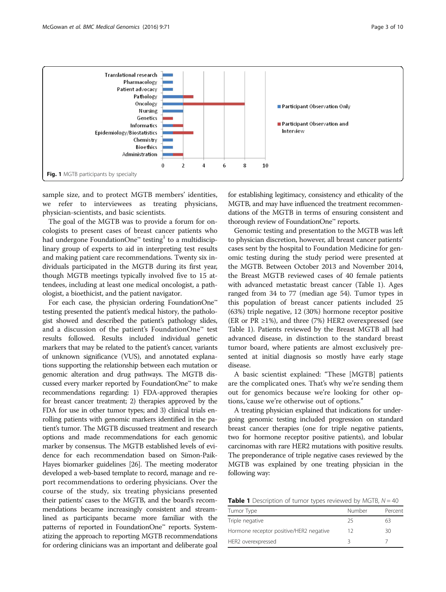<span id="page-2-0"></span>

sample size, and to protect MGTB members' identities, we refer to interviewees as treating physicians, physician-scientists, and basic scientists.

The goal of the MGTB was to provide a forum for oncologists to present cases of breast cancer patients who had undergone FoundationOne<sup>™</sup> testing<sup>1</sup> to a multidisciplinary group of experts to aid in interpreting test results and making patient care recommendations. Twenty six individuals participated in the MGTB during its first year, though MGTB meetings typically involved five to 15 attendees, including at least one medical oncologist, a pathologist, a bioethicist, and the patient navigator.

For each case, the physician ordering FoundationOne™ testing presented the patient's medical history, the pathologist showed and described the patient's pathology slides, and a discussion of the patient's FoundationOne™ test results followed. Results included individual genetic markers that may be related to the patient's cancer, variants of unknown significance (VUS), and annotated explanations supporting the relationship between each mutation or genomic alteration and drug pathways. The MGTB discussed every marker reported by FoundationOne™ to make recommendations regarding: 1) FDA-approved therapies for breast cancer treatment; 2) therapies approved by the FDA for use in other tumor types; and 3) clinical trials enrolling patients with genomic markers identified in the patient's tumor. The MGTB discussed treatment and research options and made recommendations for each genomic marker by consensus. The MGTB established levels of evidence for each recommendation based on Simon-Paik-Hayes biomarker guidelines [\[26\]](#page-9-0). The meeting moderator developed a web-based template to record, manage and report recommendations to ordering physicians. Over the course of the study, six treating physicians presented their patients' cases to the MGTB, and the board's recommendations became increasingly consistent and streamlined as participants became more familiar with the patterns of reported in FoundationOne<sup>™</sup> reports. Systematizing the approach to reporting MGTB recommendations for ordering clinicians was an important and deliberate goal

for establishing legitimacy, consistency and ethicality of the MGTB, and may have influenced the treatment recommendations of the MGTB in terms of ensuring consistent and thorough review of FoundationOne™ reports.

Genomic testing and presentation to the MGTB was left to physician discretion, however, all breast cancer patients' cases sent by the hospital to Foundation Medicine for genomic testing during the study period were presented at the MGTB. Between October 2013 and November 2014, the Breast MGTB reviewed cases of 40 female patients with advanced metastatic breast cancer (Table 1). Ages ranged from 34 to 77 (median age 54). Tumor types in this population of breast cancer patients included 25 (63%) triple negative, 12 (30%) hormone receptor positive (ER or  $PR \ge 1\%$ ), and three (7%) HER2 overexpressed (see Table 1). Patients reviewed by the Breast MGTB all had advanced disease, in distinction to the standard breast tumor board, where patients are almost exclusively presented at initial diagnosis so mostly have early stage disease.

A basic scientist explained: "These [MGTB] patients are the complicated ones. That's why we're sending them out for genomics because we're looking for other options, 'cause we're otherwise out of options."

A treating physician explained that indications for undergoing genomic testing included progression on standard breast cancer therapies (one for triple negative patients, two for hormone receptor positive patients), and lobular carcinomas with rare HER2 mutations with positive results. The preponderance of triple negative cases reviewed by the MGTB was explained by one treating physician in the following way:

**Table 1** Description of tumor types reviewed by MGTB,  $N = 40$ 

| Tumor Type                              | Number | Percent |
|-----------------------------------------|--------|---------|
| Triple negative                         | 25     | 63      |
| Hormone receptor positive/HER2 negative | 12     | 30      |
| HER2 overexpressed                      |        |         |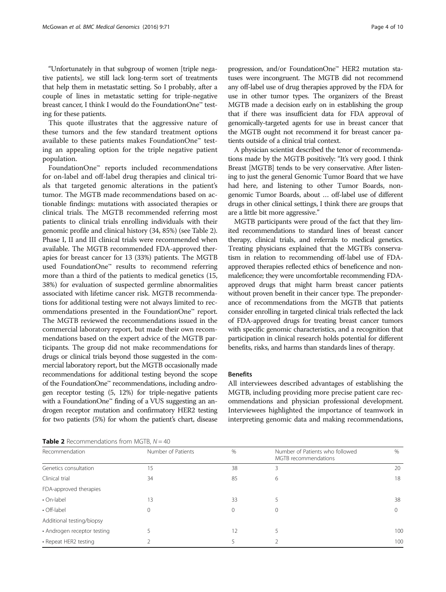<span id="page-3-0"></span>"Unfortunately in that subgroup of women [triple negative patients], we still lack long-term sort of treatments that help them in metastatic setting. So I probably, after a couple of lines in metastatic setting for triple-negative breast cancer, I think I would do the FoundationOne™ testing for these patients.

This quote illustrates that the aggressive nature of these tumors and the few standard treatment options available to these patients makes FoundationOne™ testing an appealing option for the triple negative patient population.

FoundationOne™ reports included recommendations for on-label and off-label drug therapies and clinical trials that targeted genomic alterations in the patient's tumor. The MGTB made recommendations based on actionable findings: mutations with associated therapies or clinical trials. The MGTB recommended referring most patients to clinical trials enrolling individuals with their genomic profile and clinical history (34, 85%) (see Table 2). Phase I, II and III clinical trials were recommended when available. The MGTB recommended FDA-approved therapies for breast cancer for 13 (33%) patients. The MGTB used FoundationOne™ results to recommend referring more than a third of the patients to medical genetics (15, 38%) for evaluation of suspected germline abnormalities associated with lifetime cancer risk. MGTB recommendations for additional testing were not always limited to recommendations presented in the FoundationOne™ report. The MGTB reviewed the recommendations issued in the commercial laboratory report, but made their own recommendations based on the expert advice of the MGTB participants. The group did not make recommendations for drugs or clinical trials beyond those suggested in the commercial laboratory report, but the MGTB occasionally made recommendations for additional testing beyond the scope of the FoundationOne™ recommendations, including androgen receptor testing (5, 12%) for triple-negative patients with a FoundationOne™ finding of a VUS suggesting an androgen receptor mutation and confirmatory HER2 testing for two patients (5%) for whom the patient's chart, disease

**Table 2** Recommendations from MGTR,  $N = 40$ 

progression, and/or FoundationOne™ HER2 mutation statuses were incongruent. The MGTB did not recommend any off-label use of drug therapies approved by the FDA for use in other tumor types. The organizers of the Breast MGTB made a decision early on in establishing the group that if there was insufficient data for FDA approval of genomically-targeted agents for use in breast cancer that the MGTB ought not recommend it for breast cancer patients outside of a clinical trial context.

A physician scientist described the tenor of recommendations made by the MGTB positively: "It's very good. I think Breast [MGTB] tends to be very conservative. After listening to just the general Genomic Tumor Board that we have had here, and listening to other Tumor Boards, nongenomic Tumor Boards, about … off-label use of different drugs in other clinical settings, I think there are groups that are a little bit more aggressive."

MGTB participants were proud of the fact that they limited recommendations to standard lines of breast cancer therapy, clinical trials, and referrals to medical genetics. Treating physicians explained that the MGTB's conservatism in relation to recommending off-label use of FDAapproved therapies reflected ethics of beneficence and nonmaleficence; they were uncomfortable recommending FDAapproved drugs that might harm breast cancer patients without proven benefit in their cancer type. The preponderance of recommendations from the MGTB that patients consider enrolling in targeted clinical trials reflected the lack of FDA-approved drugs for treating breast cancer tumors with specific genomic characteristics, and a recognition that participation in clinical research holds potential for different benefits, risks, and harms than standards lines of therapy.

#### **Benefits**

All interviewees described advantages of establishing the MGTB, including providing more precise patient care recommendations and physician professional development. Interviewees highlighted the importance of teamwork in interpreting genomic data and making recommendations,

| Recommendation              | Number of Patients | $\frac{0}{0}$ | Number of Patients who followed<br>MGTB recommendations | $\%$     |
|-----------------------------|--------------------|---------------|---------------------------------------------------------|----------|
|                             |                    |               |                                                         |          |
| Clinical trial              | 34                 | 85            | 6                                                       | 18       |
| FDA-approved therapies      |                    |               |                                                         |          |
| $\cdot$ On-label            | 13                 | 33            |                                                         | 38       |
| $\cdot$ Off-label           | 0                  | $\Omega$      | 0                                                       | $\Omega$ |
| Additional testing/biopsy   |                    |               |                                                         |          |
| • Androgen receptor testing |                    | 12            |                                                         | 100      |
| • Repeat HER2 testing       |                    |               |                                                         | 100      |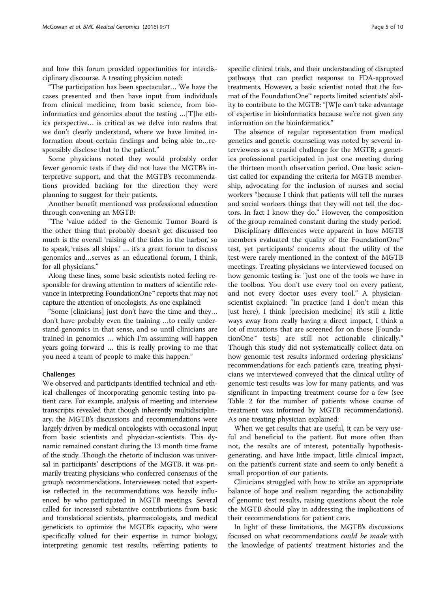and how this forum provided opportunities for interdisciplinary discourse. A treating physician noted:

"The participation has been spectacular… We have the cases presented and then have input from individuals from clinical medicine, from basic science, from bioinformatics and genomics about the testing …[T]he ethics perspective… is critical as we delve into realms that we don't clearly understand, where we have limited information about certain findings and being able to…responsibly disclose that to the patient."

Some physicians noted they would probably order fewer genomic tests if they did not have the MGTB's interpretive support, and that the MGTB's recommendations provided backing for the direction they were planning to suggest for their patients.

Another benefit mentioned was professional education through convening an MGTB:

"The 'value added' to the Genomic Tumor Board is the other thing that probably doesn't get discussed too much is the overall 'raising of the tides in the harbor,' so to speak, 'raises all ships.' … it's a great forum to discuss genomics and…serves as an educational forum, I think, for all physicians."

Along these lines, some basic scientists noted feeling responsible for drawing attention to matters of scientific relevance in interpreting FoundationOne™ reports that may not capture the attention of oncologists. As one explained:

"Some [clinicians] just don't have the time and they… don't have probably even the training …to really understand genomics in that sense, and so until clinicians are trained in genomics … which I'm assuming will happen years going forward … this is really proving to me that you need a team of people to make this happen."

### Challenges

We observed and participants identified technical and ethical challenges of incorporating genomic testing into patient care. For example, analysis of meeting and interview transcripts revealed that though inherently multidisciplinary, the MGTB's discussions and recommendations were largely driven by medical oncologists with occasional input from basic scientists and physician-scientists. This dynamic remained constant during the 13 month time frame of the study. Though the rhetoric of inclusion was universal in participants' descriptions of the MGTB, it was primarily treating physicians who conferred consensus of the group's recommendations. Interviewees noted that expertise reflected in the recommendations was heavily influenced by who participated in MGTB meetings. Several called for increased substantive contributions from basic and translational scientists, pharmacologists, and medical geneticists to optimize the MGTB's capacity, who were specifically valued for their expertise in tumor biology, interpreting genomic test results, referring patients to

specific clinical trials, and their understanding of disrupted pathways that can predict response to FDA-approved treatments. However, a basic scientist noted that the format of the FoundationOne™ reports limited scientists' ability to contribute to the MGTB: "[W]e can't take advantage of expertise in bioinformatics because we're not given any information on the bioinformatics."

The absence of regular representation from medical genetics and genetic counseling was noted by several interviewees as a crucial challenge for the MGTB; a genetics professional participated in just one meeting during the thirteen month observation period. One basic scientist called for expanding the criteria for MGTB membership, advocating for the inclusion of nurses and social workers "because I think that patients will tell the nurses and social workers things that they will not tell the doctors. In fact I know they do." However, the composition of the group remained constant during the study period.

Disciplinary differences were apparent in how MGTB members evaluated the quality of the FoundationOne™ test, yet participants' concerns about the utility of the test were rarely mentioned in the context of the MGTB meetings. Treating physicians we interviewed focused on how genomic testing is: "just one of the tools we have in the toolbox. You don't use every tool on every patient, and not every doctor uses every tool." A physicianscientist explained: "In practice (and I don't mean this just here), I think [precision medicine] it's still a little ways away from really having a direct impact, I think a lot of mutations that are screened for on those [FoundationOne™ tests] are still not actionable clinically." Though this study did not systematically collect data on how genomic test results informed ordering physicians' recommendations for each patient's care, treating physicians we interviewed conveyed that the clinical utility of genomic test results was low for many patients, and was significant in impacting treatment course for a few (see Table [2](#page-3-0) for the number of patients whose course of treatment was informed by MGTB recommendations). As one treating physician explained:

When we get results that are useful, it can be very useful and beneficial to the patient. But more often than not, the results are of interest, potentially hypothesisgenerating, and have little impact, little clinical impact, on the patient's current state and seem to only benefit a small proportion of our patients.

Clinicians struggled with how to strike an appropriate balance of hope and realism regarding the actionability of genomic test results, raising questions about the role the MGTB should play in addressing the implications of their recommendations for patient care.

In light of these limitations, the MGTB's discussions focused on what recommendations could be made with the knowledge of patients' treatment histories and the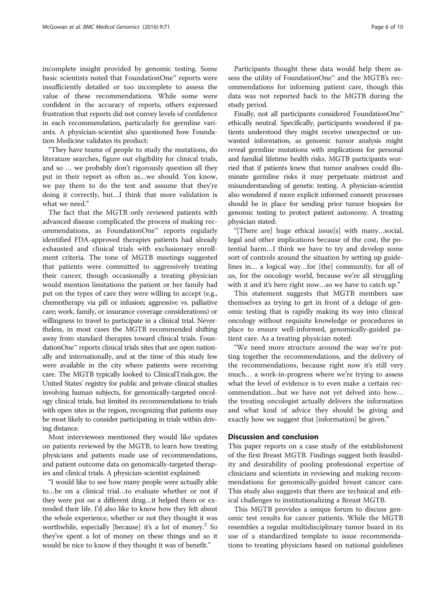incomplete insight provided by genomic testing. Some basic scientists noted that FoundationOne™ reports were insufficiently detailed or too incomplete to assess the value of these recommendations. While some were confident in the accuracy of reports, others expressed frustration that reports did not convey levels of confidence in each recommendation, particularly for germline variants. A physician-scientist also questioned how Foundation Medicine validates its product:

"They have teams of people to study the mutations, do literature searches, figure out eligibility for clinical trials, and so … we probably don't rigorously question all they put in their report as often as…we should. You know, we pay them to do the test and assume that they're doing it correctly, but…I think that more validation is what we need."

The fact that the MGTB only reviewed patients with advanced disease complicated the process of making recommendations, as FoundationOne™ reports regularly identified FDA-approved therapies patients had already exhausted and clinical trials with exclusionary enrollment criteria. The tone of MGTB meetings suggested that patients were committed to aggressively treating their cancer, though occasionally a treating physician would mention limitations the patient or her family had put on the types of care they were willing to accept (e.g., chemotherapy via pill or infusion; aggressive vs. palliative care; work, family, or insurance coverage considerations) or willingness to travel to participate in a clinical trial. Nevertheless, in most cases the MGTB recommended shifting away from standard therapies toward clinical trials. FoundationOne™ reports clinical trials sites that are open nationally and internationally, and at the time of this study few were available in the city where patients were receiving care. The MGTB typically looked to ClinicalTrials.gov, the United States' registry for public and private clinical studies involving human subjects, for genomically-targeted oncology clinical trials, but limited its recommendations to trials with open sites in the region, recognizing that patients may be most likely to consider participating in trials within driving distance.

Most interviewees mentioned they would like updates on patients reviewed by the MGTB, to learn how treating physicians and patients made use of recommendations, and patient outcome data on genomically-targeted therapies and clinical trials. A physician-scientist explained:

"I would like to see how many people were actually able to…be on a clinical trial…to evaluate whether or not if they were put on a different drug…it helped them or extended their life. I'd also like to know how they felt about the whole experience, whether or not they thought it was worthwhile, especially [because] it's a lot of money.<sup>2</sup> So they've spent a lot of money on these things and so it would be nice to know if they thought it was of benefit."

Finally, not all participants considered FoundationOne™ ethically neutral. Specifically, participants wondered if patients understood they might receive unexpected or unwanted information, as genomic tumor analysis might reveal germline mutations with implications for personal and familial lifetime health risks. MGTB participants worried that if patients knew that tumor analyses could illuminate germline risks it may perpetuate mistrust and misunderstanding of genetic testing. A physician-scientist also wondered if more explicit informed consent processes should be in place for sending prior tumor biopsies for genomic testing to protect patient autonomy. A treating physician stated:

"[There are] huge ethical issue[s] with many…social, legal and other implications because of the cost, the potential harm…I think we have to try and develop some sort of controls around the situation by setting up guidelines in… a logical way…for [the] community, for all of us, for the oncology world, because we're all struggling with it and it's here right now…so we have to catch up."

This statement suggests that MGTB members saw themselves as trying to get in front of a deluge of genomic testing that is rapidly making its way into clinical oncology without requisite knowledge or procedures in place to ensure well-informed, genomically-guided patient care. As a treating physician noted:

"We need more structure around the way we're putting together the recommendations, and the delivery of the recommendations, because right now it's still very much… a work-in-progress where we're trying to assess what the level of evidence is to even make a certain recommendation…but we have not yet delved into how… the treating oncologist actually delivers the information and what kind of advice they should be giving and exactly how we suggest that [information] be given."

## Discussion and conclusion

This paper reports on a case study of the establishment of the first Breast MGTB. Findings suggest both feasibility and desirability of pooling professional expertise of clinicians and scientists in reviewing and making recommendations for genomically-guided breast cancer care. This study also suggests that there are technical and ethical challenges to institutionalizing a Breast MGTB.

This MGTB provides a unique forum to discuss genomic test results for cancer patients. While the MGTB resembles a regular multidisciplinary tumor board in its use of a standardized template to issue recommendations to treating physicians based on national guidelines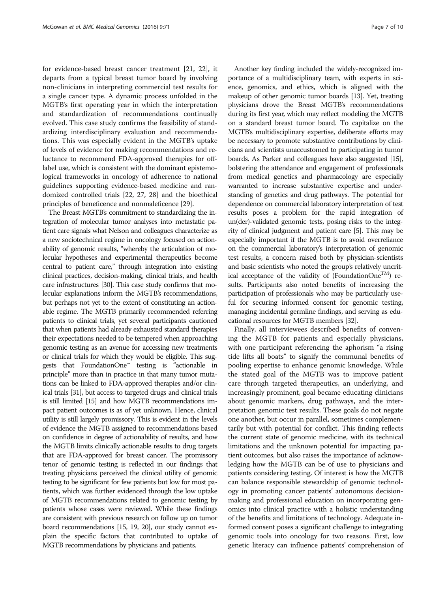for evidence-based breast cancer treatment [\[21](#page-9-0), [22\]](#page-9-0), it departs from a typical breast tumor board by involving non-clinicians in interpreting commercial test results for a single cancer type. A dynamic process unfolded in the MGTB's first operating year in which the interpretation and standardization of recommendations continually evolved. This case study confirms the feasibility of standardizing interdisciplinary evaluation and recommendations. This was especially evident in the MGTB's uptake of levels of evidence for making recommendations and reluctance to recommend FDA-approved therapies for offlabel use, which is consistent with the dominant epistemological frameworks in oncology of adherence to national guidelines supporting evidence-based medicine and randomized controlled trials [\[22, 27, 28\]](#page-9-0) and the bioethical principles of beneficence and nonmaleficence [\[29\]](#page-9-0).

The Breast MGTB's commitment to standardizing the integration of molecular tumor analyses into metastatic patient care signals what Nelson and colleagues characterize as a new sociotechnical regime in oncology focused on actionability of genomic results, "whereby the articulation of molecular hypotheses and experimental therapeutics become central to patient care," through integration into existing clinical practices, decision-making, clinical trials, and health care infrastructures [\[30](#page-9-0)]. This case study confirms that molecular explanations inform the MGTB's recommendations, but perhaps not yet to the extent of constituting an actionable regime. The MGTB primarily recommended referring patients to clinical trials, yet several participants cautioned that when patients had already exhausted standard therapies their expectations needed to be tempered when approaching genomic testing as an avenue for accessing new treatments or clinical trials for which they would be eligible. This suggests that FoundationOne™ testing is "actionable in principle" more than in practice in that many tumor mutations can be linked to FDA-approved therapies and/or clinical trials [\[31](#page-9-0)], but access to targeted drugs and clinical trials is still limited [\[15](#page-9-0)] and how MGTB recommendations impact patient outcomes is as of yet unknown. Hence, clinical utility is still largely promissory. This is evident in the levels of evidence the MGTB assigned to recommendations based on confidence in degree of actionability of results, and how the MGTB limits clinically actionable results to drug targets that are FDA-approved for breast cancer. The promissory tenor of genomic testing is reflected in our findings that treating physicians perceived the clinical utility of genomic testing to be significant for few patients but low for most patients, which was further evidenced through the low uptake of MGTB recommendations related to genomic testing by patients whose cases were reviewed. While these findings are consistent with previous research on follow up on tumor board recommendations [\[15](#page-9-0), [19](#page-9-0), [20](#page-9-0)], our study cannot explain the specific factors that contributed to uptake of MGTB recommendations by physicians and patients.

Another key finding included the widely-recognized importance of a multidisciplinary team, with experts in science, genomics, and ethics, which is aligned with the makeup of other genomic tumor boards [\[13](#page-9-0)]. Yet, treating physicians drove the Breast MGTB's recommendations during its first year, which may reflect modeling the MGTB on a standard breast tumor board. To capitalize on the MGTB's multidisciplinary expertise, deliberate efforts may be necessary to promote substantive contributions by clinicians and scientists unaccustomed to participating in tumor boards. As Parker and colleagues have also suggested [\[15](#page-9-0)], bolstering the attendance and engagement of professionals from medical genetics and pharmacology are especially warranted to increase substantive expertise and understanding of genetics and drug pathways. The potential for dependence on commercial laboratory interpretation of test results poses a problem for the rapid integration of un(der)-validated genomic tests, posing risks to the integrity of clinical judgment and patient care [\[5](#page-8-0)]. This may be especially important if the MGTB is to avoid overreliance on the commercial laboratory's interpretation of genomic test results, a concern raised both by physician-scientists and basic scientists who noted the group's relatively uncritical acceptance of the validity of (FoundationOne<sup>TM</sup>) results. Participants also noted benefits of increasing the participation of professionals who may be particularly useful for securing informed consent for genomic testing, managing incidental germline findings, and serving as educational resources for MGTB members [\[32](#page-9-0)].

Finally, all interviewees described benefits of convening the MGTB for patients and especially physicians, with one participant referencing the aphorism "a rising tide lifts all boats" to signify the communal benefits of pooling expertise to enhance genomic knowledge. While the stated goal of the MGTB was to improve patient care through targeted therapeutics, an underlying, and increasingly prominent, goal became educating clinicians about genomic markers, drug pathways, and the interpretation genomic test results. These goals do not negate one another, but occur in parallel, sometimes complementarily but with potential for conflict. This finding reflects the current state of genomic medicine, with its technical limitations and the unknown potential for impacting patient outcomes, but also raises the importance of acknowledging how the MGTB can be of use to physicians and patients considering testing. Of interest is how the MGTB can balance responsible stewardship of genomic technology in promoting cancer patients' autonomous decisionmaking and professional education on incorporating genomics into clinical practice with a holistic understanding of the benefits and limitations of technology. Adequate informed consent poses a significant challenge to integrating genomic tools into oncology for two reasons. First, low genetic literacy can influence patients' comprehension of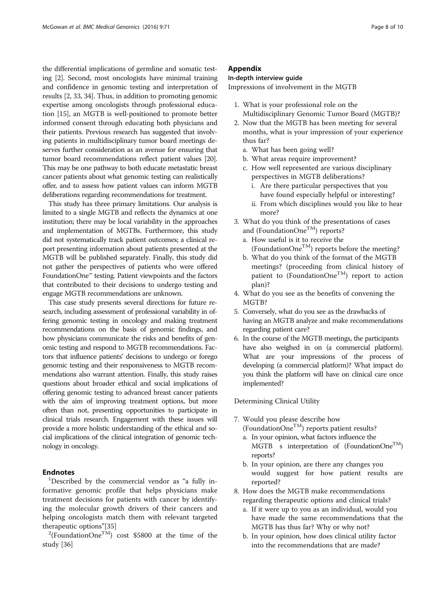<span id="page-7-0"></span>the differential implications of germline and somatic testing [\[2](#page-8-0)]. Second, most oncologists have minimal training and confidence in genomic testing and interpretation of results [\[2](#page-8-0), [33, 34\]](#page-9-0). Thus, in addition to promoting genomic expertise among oncologists through professional education [\[15\]](#page-9-0), an MGTB is well-positioned to promote better informed consent through educating both physicians and their patients. Previous research has suggested that involving patients in multidisciplinary tumor board meetings deserves further consideration as an avenue for ensuring that tumor board recommendations reflect patient values [\[20](#page-9-0)]. This may be one pathway to both educate metastatic breast cancer patients about what genomic testing can realistically offer, and to assess how patient values can inform MGTB deliberations regarding recommendations for treatment.

This study has three primary limitations. Our analysis is limited to a single MGTB and reflects the dynamics at one institution; there may be local variability in the approaches and implementation of MGTBs. Furthermore, this study did not systematically track patient outcomes; a clinical report presenting information about patients presented at the MGTB will be published separately. Finally, this study did not gather the perspectives of patients who were offered FoundationOne™ testing. Patient viewpoints and the factors that contributed to their decisions to undergo testing and engage MGTB recommendations are unknown.

This case study presents several directions for future research, including assessment of professional variability in offering genomic testing in oncology and making treatment recommendations on the basis of genomic findings, and how physicians communicate the risks and benefits of genomic testing and respond to MGTB recommendations. Factors that influence patients' decisions to undergo or forego genomic testing and their responsiveness to MGTB recommendations also warrant attention. Finally, this study raises questions about broader ethical and social implications of offering genomic testing to advanced breast cancer patients with the aim of improving treatment options, but more often than not, presenting opportunities to participate in clinical trials research. Engagement with these issues will provide a more holistic understanding of the ethical and social implications of the clinical integration of genomic technology in oncology.

## **Endnotes**

<sup>1</sup>Described by the commercial vendor as "a fully informative genomic profile that helps physicians make treatment decisions for patients with cancer by identifying the molecular growth drivers of their cancers and helping oncologists match them with relevant targeted therapeutic options"[[35\]](#page-9-0) <sup>2</sup>

<sup>2</sup>(FoundationOne<sup>TM</sup>) cost \$5800 at the time of the study [[36\]](#page-9-0)

## Appendix

### In-depth interview guide

Impressions of involvement in the MGTB

- 1. What is your professional role on the Multidisciplinary Genomic Tumor Board (MGTB)?
- 2. Now that the MGTB has been meeting for several months, what is your impression of your experience thus far?
	- a. What has been going well?
	- b. What areas require improvement?
	- c. How well represented are various disciplinary perspectives in MGTB deliberations?
		- i. Are there particular perspectives that you have found especially helpful or interesting?
		- ii. From which disciplines would you like to hear more?
- 3. What do you think of the presentations of cases and (Foundation $One^{TM}$ ) reports?
	- a. How useful is it to receive the (Foundation $One^{TM}$ ) reports before the meeting?
	- b. What do you think of the format of the MGTB meetings? (proceeding from clinical history of patient to (FoundationOne<sup>TM</sup>) report to action plan)?
- 4. What do you see as the benefits of convening the MGTB?
- 5. Conversely, what do you see as the drawbacks of having an MGTB analyze and make recommendations regarding patient care?
- 6. In the course of the MGTB meetings, the participants have also weighed in on (a commercial platform). What are your impressions of the process of developing (a commercial platform)? What impact do you think the platform will have on clinical care once implemented?

## Determining Clinical Utility

- 7. Would you please describe how (Foundation $One^{TM}$ ) reports patient results?
	- a. In your opinion, what factors influence the MGTB s interpretation of (FoundationOne<sup>TM</sup>) reports?
	- b. In your opinion, are there any changes you would suggest for how patient results are reported?
- 8. How does the MGTB make recommendations regarding therapeutic options and clinical trials?
	- a. If it were up to you as an individual, would you have made the same recommendations that the MGTB has thus far? Why or why not?
	- b. In your opinion, how does clinical utility factor into the recommendations that are made?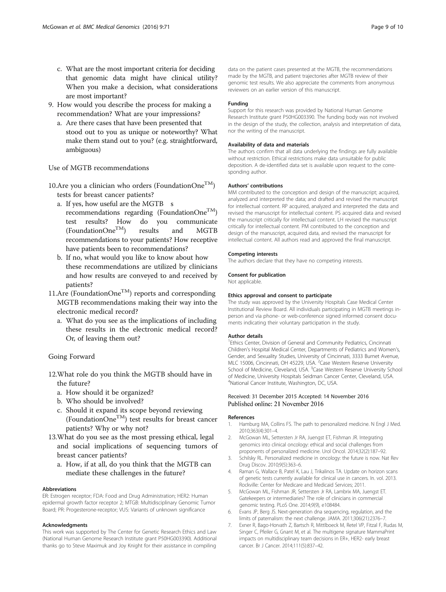- <span id="page-8-0"></span>c. What are the most important criteria for deciding that genomic data might have clinical utility? When you make a decision, what considerations are most important?
- 9. How would you describe the process for making a recommendation? What are your impressions?
	- a. Are there cases that have been presented that stood out to you as unique or noteworthy? What make them stand out to you? (e.g. straightforward, ambiguous)

## Use of MGTB recommendations

- 10.Are you a clinician who orders (FoundationOne<sup>TM</sup>) tests for breast cancer patients?
	- a. If yes, how useful are the MGTB s
	- recommendations regarding (FoundationOne<sup>TM</sup>) test results? How do you communicate (FoundationOneTM) results and MGTB recommendations to your patients? How receptive have patients been to recommendations?
	- b. If no, what would you like to know about how these recommendations are utilized by clinicians and how results are conveyed to and received by patients?
- 11.Are (FoundationOne<sup>TM</sup>) reports and corresponding MGTB recommendations making their way into the electronic medical record?
	- a. What do you see as the implications of including these results in the electronic medical record? Or, of leaving them out?

#### Going Forward

- 12.What role do you think the MGTB should have in the future?
	- a. How should it be organized?
	- b. Who should be involved?
	- c. Should it expand its scope beyond reviewing (FoundationOne<sup>TM</sup>) test results for breast cancer patients? Why or why not?
- 13.What do you see as the most pressing ethical, legal and social implications of sequencing tumors of breast cancer patients?
	- a. How, if at all, do you think that the MGTB can mediate these challenges in the future?

#### Abbreviations

ER: Estrogen receptor; FDA: Food and Drug Administration; HER2: Human epidermal growth factor receptor 2; MTGB: Multidisciplinary Genomic Tumor Board; PR: Progesterone-receptor; VUS: Variants of unknown significance

#### Acknowledgments

This work was supported by The Center for Genetic Research Ethics and Law (National Human Genome Research Institute grant P50HG003390). Additional thanks go to Steve Maximuk and Joy Knight for their assistance in compiling

data on the patient cases presented at the MGTB, the recommendations made by the MGTB, and patient trajectories after MGTB review of their genomic test results. We also appreciate the comments from anonymous reviewers on an earlier version of this manuscript.

#### Funding

Support for this research was provided by National Human Genome Research Institute grant P50HG003390. The funding body was not involved in the design of the study, the collection, analysis and interpretation of data, nor the writing of the manuscript.

#### Availability of data and materials

The authors confirm that all data underlying the findings are fully available without restriction. Ethical restrictions make data unsuitable for public deposition. A de-identified data set is available upon request to the corresponding author.

#### Authors' contributions

MM contributed to the conception and design of the manuscript; acquired, analyzed and interpreted the data; and drafted and revised the manuscript for intellectual content. RP acquired, analyzed and interpreted the data and revised the manuscript for intellectual content. PS acquired data and revised the manuscript critically for intellectual content. LH revised the manuscript critically for intellectual content. PM contributed to the conception and design of the manuscript, acquired data, and revised the manuscript for intellectual content. All authors read and approved the final manuscript.

#### Competing interests

The authors declare that they have no competing interests.

#### Consent for publication

Not applicable.

#### Ethics approval and consent to participate

The study was approved by the University Hospitals Case Medical Center Institutional Review Board. All individuals participating in MGTB meetings inperson and via phone- or web-conference signed informed consent documents indicating their voluntary participation in the study.

#### Author details

<sup>1</sup> Ethics Center, Division of General and Community Pediatrics, Cincinnati Children's Hospital Medical Center, Departments of Pediatrics and Women's, Gender, and Sexuality Studies, University of Cincinnati, 3333 Burnet Avenue, MLC 15006, Cincinnati, OH 45229, USA. <sup>2</sup> Case Western Reserve University School of Medicine, Cleveland, USA. <sup>3</sup> Case Western Reserve University School of Medicine, University Hospitals Seidman Cancer Center, Cleveland, USA. 4 National Cancer Institute, Washington, DC, USA.

### Received: 31 December 2015 Accepted: 14 November 2016 Published online: 21 November 2016

#### References

- Hamburg MA, Collins FS. The path to personalized medicine. N Engl J Med. 2010;363(4):301–4.
- 2. McGowan ML, Settersten Jr RA, Juengst ET, Fishman JR. Integrating genomics into clinical oncology: ethical and social challenges from proponents of personalized medicine. Urol Oncol. 2014;32(2):187–92.
- 3. Schilsky RL. Personalized medicine in oncology: the future is now. Nat Rev Drug Discov. 2010;9(5):363–6.
- 4. Raman G, Wallace B, Patel K, Lau J, Trikalinos TA. Update on horizon scans of genetic tests currently available for clinical use in cancers. In. vol. 2013. Rockville: Center for Medicare and Medicaid Services; 2011.
- 5. McGowan ML, Fishman JR, Settersten Jr RA, Lambrix MA, Juengst ET. Gatekeepers or intermediaries? The role of clinicians in commercial genomic testing. PLoS One. 2014;9(9), e108484.
- 6. Evans JP, Berg JS. Next-generation dna sequencing, regulation, and the limits of paternalism: the next challenge. JAMA. 2011;306(21):2376–7.
- 7. Exner R, Bago-Horvath Z, Bartsch R, Mittlboeck M, Retel VP, Fitzal F, Rudas M, Singer C, Pfeiler G, Gnant M, et al. The multigene signature MammaPrint impacts on multidisciplinary team decisions in ER+, HER2- early breast cancer. Br J Cancer. 2014;111(5):837–42.